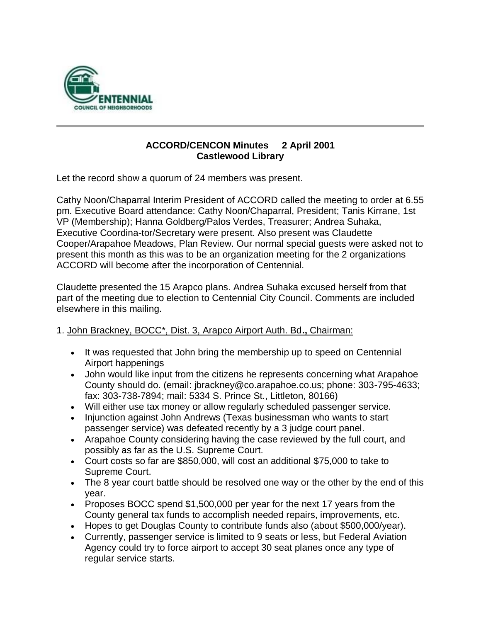

## **ACCORD/CENCON Minutes 2 April 2001 Castlewood Library**

Let the record show a quorum of 24 members was present.

Cathy Noon/Chaparral Interim President of ACCORD called the meeting to order at 6.55 pm. Executive Board attendance: Cathy Noon/Chaparral, President; Tanis Kirrane, 1st VP (Membership); Hanna Goldberg/Palos Verdes, Treasurer; Andrea Suhaka, Executive Coordina-tor/Secretary were present. Also present was Claudette Cooper/Arapahoe Meadows, Plan Review. Our normal special guests were asked not to present this month as this was to be an organization meeting for the 2 organizations ACCORD will become after the incorporation of Centennial.

Claudette presented the 15 Arapco plans. Andrea Suhaka excused herself from that part of the meeting due to election to Centennial City Council. Comments are included elsewhere in this mailing.

### 1. John Brackney, BOCC\*, Dist. 3, Arapco Airport Auth. Bd**.,** Chairman:

- It was requested that John bring the membership up to speed on Centennial Airport happenings
- John would like input from the citizens he represents concerning what Arapahoe County should do. (email: jbrackney@co.arapahoe.co.us; phone: 303-795-4633; fax: 303-738-7894; mail: 5334 S. Prince St., Littleton, 80166)
- Will either use tax money or allow regularly scheduled passenger service.
- Injunction against John Andrews (Texas businessman who wants to start passenger service) was defeated recently by a 3 judge court panel.
- Arapahoe County considering having the case reviewed by the full court, and possibly as far as the U.S. Supreme Court.
- Court costs so far are \$850,000, will cost an additional \$75,000 to take to Supreme Court.
- The 8 year court battle should be resolved one way or the other by the end of this year.
- Proposes BOCC spend \$1,500,000 per year for the next 17 years from the County general tax funds to accomplish needed repairs, improvements, etc.
- Hopes to get Douglas County to contribute funds also (about \$500,000/year).
- Currently, passenger service is limited to 9 seats or less, but Federal Aviation Agency could try to force airport to accept 30 seat planes once any type of regular service starts.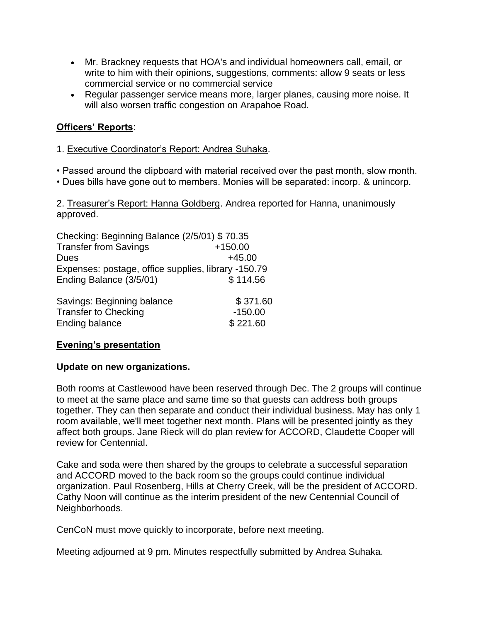- Mr. Brackney requests that HOA's and individual homeowners call, email, or write to him with their opinions, suggestions, comments: allow 9 seats or less commercial service or no commercial service
- Regular passenger service means more, larger planes, causing more noise. It will also worsen traffic congestion on Arapahoe Road.

# **Officers' Reports**:

- 1. Executive Coordinator's Report: Andrea Suhaka.
- Passed around the clipboard with material received over the past month, slow month.
- Dues bills have gone out to members. Monies will be separated: incorp. & unincorp.

2. Treasurer's Report: Hanna Goldberg. Andrea reported for Hanna, unanimously approved.

| Checking: Beginning Balance (2/5/01) \$70.35        |           |
|-----------------------------------------------------|-----------|
| <b>Transfer from Savings</b>                        | $+150.00$ |
| <b>Dues</b>                                         | $+45.00$  |
| Expenses: postage, office supplies, library -150.79 |           |
| Ending Balance (3/5/01)                             | \$114.56  |
|                                                     |           |

| Savings: Beginning balance  | \$371.60  |
|-----------------------------|-----------|
| <b>Transfer to Checking</b> | $-150.00$ |
| Ending balance              | \$221.60  |

# **Evening's presentation**

### **Update on new organizations.**

Both rooms at Castlewood have been reserved through Dec. The 2 groups will continue to meet at the same place and same time so that guests can address both groups together. They can then separate and conduct their individual business. May has only 1 room available, we'll meet together next month. Plans will be presented jointly as they affect both groups. Jane Rieck will do plan review for ACCORD, Claudette Cooper will review for Centennial.

Cake and soda were then shared by the groups to celebrate a successful separation and ACCORD moved to the back room so the groups could continue individual organization. Paul Rosenberg, Hills at Cherry Creek, will be the president of ACCORD. Cathy Noon will continue as the interim president of the new Centennial Council of Neighborhoods.

CenCoN must move quickly to incorporate, before next meeting.

Meeting adjourned at 9 pm. Minutes respectfully submitted by Andrea Suhaka.